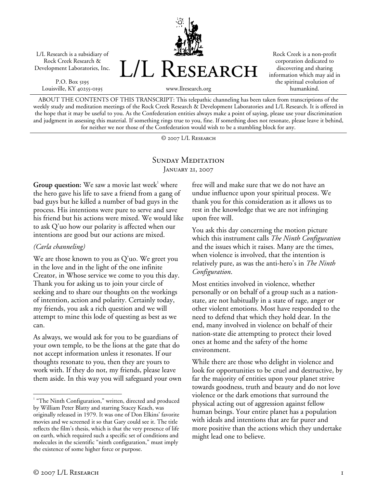L/L Research is a subsidiary of Rock Creek Research & Development Laboratories, Inc.

P.O. Box 5195 Louisville, KY 40255-0195 L/L Research

Rock Creek is a non-profit corporation dedicated to discovering and sharing information which may aid in the spiritual evolution of humankind.

www.llresearch.org

ABOUT THE CONTENTS OF THIS TRANSCRIPT: This telepathic channeling has been taken from transcriptions of the weekly study and meditation meetings of the Rock Creek Research & Development Laboratories and L/L Research. It is offered in the hope that it may be useful to you. As the Confederation entities always make a point of saying, please use your discrimination and judgment in assessing this material. If something rings true to you, fine. If something does not resonate, please leave it behind, for neither we nor those of the Confederation would wish to be a stumbling block for any.

© 2007 L/L Research

## SUNDAY MEDITATION January 21, 2007

**Group question:** We saw a movie last week<sup>1</sup> where the hero gave his life to save a friend from a gang of bad guys but he killed a number of bad guys in the process. His intentions were pure to serve and save his friend but his actions were mixed. We would like to ask Q'uo how our polarity is affected when our intentions are good but our actions are mixed.

## *(Carla channeling)*

We are those known to you as Q'uo. We greet you in the love and in the light of the one infinite Creator, in Whose service we come to you this day. Thank you for asking us to join your circle of seeking and to share our thoughts on the workings of intention, action and polarity. Certainly today, my friends, you ask a rich question and we will attempt to mine this lode of questing as best as we can.

As always, we would ask for you to be guardians of your own temple, to be the lions at the gate that do not accept information unless it resonates. If our thoughts resonate to you, then they are yours to work with. If they do not, my friends, please leave them aside. In this way you will safeguard your own

<sup>1</sup> "The Ninth Configuration," written, directed and produced by William Peter Blatty and starring Stacey Keach, was originally released in 1979. It was one of Don Elkins' favorite movies and we screened it so that Gary could see it. The title reflects the film's thesis, which is that the very presence of life on earth, which required such a specific set of conditions and molecules in the scientific "ninth configuration," must imply the existence of some higher force or purpose.

free will and make sure that we do not have an undue influence upon your spiritual process. We thank you for this consideration as it allows us to rest in the knowledge that we are not infringing upon free will.

You ask this day concerning the motion picture which this instrument calls *The Ninth Configuration* and the issues which it raises. Many are the times, when violence is involved, that the intention is relatively pure, as was the anti-hero's in *The Ninth Configuration*.

Most entities involved in violence, whether personally or on behalf of a group such as a nationstate, are not habitually in a state of rage, anger or other violent emotions. Most have responded to the need to defend that which they hold dear. In the end, many involved in violence on behalf of their nation-state die attempting to protect their loved ones at home and the safety of the home environment.

While there are those who delight in violence and look for opportunities to be cruel and destructive, by far the majority of entities upon your planet strive towards goodness, truth and beauty and do not love violence or the dark emotions that surround the physical acting out of aggression against fellow human beings. Your entire planet has a population with ideals and intentions that are far purer and more positive than the actions which they undertake might lead one to believe.

 $\overline{a}$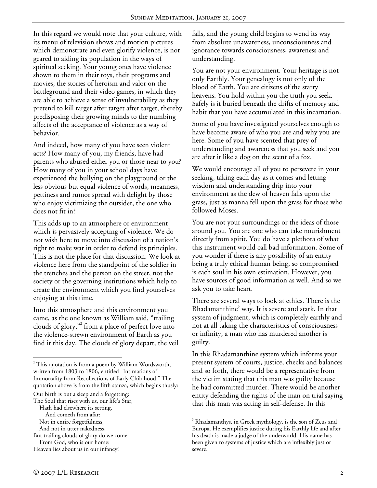In this regard we would note that your culture, with its menu of television shows and motion pictures which demonstrate and even glorify violence, is not geared to aiding its population in the ways of spiritual seeking. Your young ones have violence shown to them in their toys, their programs and movies, the stories of heroism and valor on the battleground and their video games, in which they are able to achieve a sense of invulnerability as they pretend to kill target after target after target, thereby predisposing their growing minds to the numbing affects of the acceptance of violence as a way of behavior.

And indeed, how many of you have seen violent acts? How many of you, my friends, have had parents who abused either you or those near to you? How many of you in your school days have experienced the bullying on the playground or the less obvious but equal violence of words, meanness, pettiness and rumor spread with delight by those who enjoy victimizing the outsider, the one who does not fit in?

This adds up to an atmosphere or environment which is pervasively accepting of violence. We do not wish here to move into discussion of a nation's right to make war in order to defend its principles. This is not the place for that discussion. We look at violence here from the standpoint of the soldier in the trenches and the person on the street, not the society or the governing institutions which help to create the environment which you find yourselves enjoying at this time.

Into this atmosphere and this environment you came, as the one known as William said, "trailing clouds of glory,"<sup>2</sup> from a place of perfect love into the violence-strewn environment of Earth as you find it this day. The clouds of glory depart, the veil

1

But trailing clouds of glory do we come From God, who is our home:

falls, and the young child begins to wend its way from absolute unawareness, unconsciousness and ignorance towards consciousness, awareness and understanding.

You are not your environment. Your heritage is not only Earthly. Your genealogy is not only of the blood of Earth. You are citizens of the starry heavens. You hold within you the truth you seek. Safely is it buried beneath the drifts of memory and habit that you have accumulated in this incarnation.

Some of you have investigated yourselves enough to have become aware of who you are and why you are here. Some of you have scented that prey of understanding and awareness that you seek and you are after it like a dog on the scent of a fox.

We would encourage all of you to persevere in your seeking, taking each day as it comes and letting wisdom and understanding drip into your environment as the dew of heaven falls upon the grass, just as manna fell upon the grass for those who followed Moses.

You are not your surroundings or the ideas of those around you. You are one who can take nourishment directly from spirit. You do have a plethora of what this instrument would call bad information. Some of you wonder if there is any possibility of an entity being a truly ethical human being, so compromised is each soul in his own estimation. However, you have sources of good information as well. And so we ask you to take heart.

There are several ways to look at ethics. There is the Rhadamanthine<sup>3</sup> way. It is severe and stark. In that system of judgment, which is completely earthly and not at all taking the characteristics of consciousness or infinity, a man who has murdered another is guilty.

In this Rhadamanthine system which informs your present system of courts, justice, checks and balances and so forth, there would be a representative from the victim stating that this man was guilty because he had committed murder. There would be another entity defending the rights of the man on trial saying that this man was acting in self-defense. In this

 $\overline{a}$ 

 $2^{2}$  This quotation is from a poem by William Wordsworth, written from 1803 to 1806, entitled "Intimations of Immortality from Recollections of Early Childhood." The quotation above is from the fifth stanza, which begins thusly:

Our birth is but a sleep and a forgetting:

The Soul that rises with us, our life's Star,

Hath had elsewhere its setting, And cometh from afar:

Not in entire forgetfulness,

And not in utter nakedness,

Heaven lies about us in our infancy!

<sup>&</sup>lt;sup>3</sup> Rhadamanthys, in Greek mythology, is the son of Zeus and Europa. He exemplifies justice during his Earthly life and after his death is made a judge of the underworld. His name has been given to systems of justice which are inflexibly just or severe.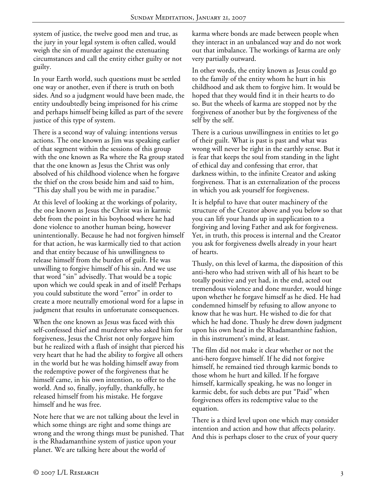system of justice, the twelve good men and true, as the jury in your legal system is often called, would weigh the sin of murder against the extenuating circumstances and call the entity either guilty or not guilty.

In your Earth world, such questions must be settled one way or another, even if there is truth on both sides. And so a judgment would have been made, the entity undoubtedly being imprisoned for his crime and perhaps himself being killed as part of the severe justice of this type of system.

There is a second way of valuing: intentions versus actions. The one known as Jim was speaking earlier of that segment within the sessions of this group with the one known as Ra where the Ra group stated that the one known as Jesus the Christ was only absolved of his childhood violence when he forgave the thief on the cross beside him and said to him, "This day shall you be with me in paradise."

At this level of looking at the workings of polarity, the one known as Jesus the Christ was in karmic debt from the point in his boyhood where he had done violence to another human being, however unintentionally. Because he had not forgiven himself for that action, he was karmically tied to that action and that entity because of his unwillingness to release himself from the burden of guilt. He was unwilling to forgive himself of his sin. And we use that word "sin" advisedly. That would be a topic upon which we could speak in and of itself! Perhaps you could substitute the word "error" in order to create a more neutrally emotional word for a lapse in judgment that results in unfortunate consequences.

When the one known as Jesus was faced with this self-confessed thief and murderer who asked him for forgiveness, Jesus the Christ not only forgave him but he realized with a flash of insight that pierced his very heart that he had the ability to forgive all others in the world but he was holding himself away from the redemptive power of the forgiveness that he himself came, in his own intention, to offer to the world. And so, finally, joyfully, thankfully, he released himself from his mistake. He forgave himself and he was free.

Note here that we are not talking about the level in which some things are right and some things are wrong and the wrong things must be punished. That is the Rhadamanthine system of justice upon your planet. We are talking here about the world of

karma where bonds are made between people when they interact in an unbalanced way and do not work out that imbalance. The workings of karma are only very partially outward.

In other words, the entity known as Jesus could go to the family of the entity whom he hurt in his childhood and ask them to forgive him. It would be hoped that they would find it in their hearts to do so. But the wheels of karma are stopped not by the forgiveness of another but by the forgiveness of the self by the self.

There is a curious unwillingness in entities to let go of their guilt. What is past is past and what was wrong will never be right in the earthly sense. But it is fear that keeps the soul from standing in the light of ethical day and confessing that error, that darkness within, to the infinite Creator and asking forgiveness. That is an externalization of the process in which you ask yourself for forgiveness.

It is helpful to have that outer machinery of the structure of the Creator above and you below so that you can lift your hands up in supplication to a forgiving and loving Father and ask for forgiveness. Yet, in truth, this process is internal and the Creator you ask for forgiveness dwells already in your heart of hearts.

Thusly, on this level of karma, the disposition of this anti-hero who had striven with all of his heart to be totally positive and yet had, in the end, acted out tremendous violence and done murder, would hinge upon whether he forgave himself as he died. He had condemned himself by refusing to allow anyone to know that he was hurt. He wished to die for that which he had done. Thusly he drew down judgment upon his own head in the Rhadamanthine fashion, in this instrument's mind, at least.

The film did not make it clear whether or not the anti-hero forgave himself. If he did not forgive himself, he remained tied through karmic bonds to those whom he hurt and killed. If he forgave himself, karmically speaking, he was no longer in karmic debt, for such debts are put "Paid" when forgiveness offers its redemptive value to the equation.

There is a third level upon one which may consider intention and action and how that affects polarity. And this is perhaps closer to the crux of your query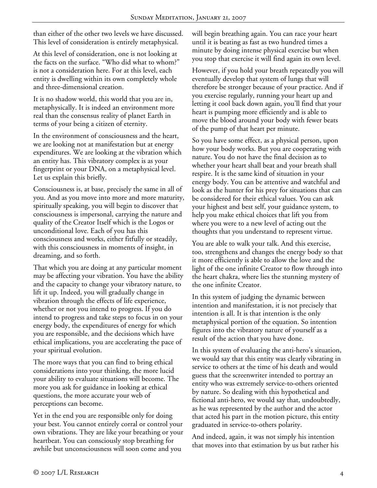than either of the other two levels we have discussed. This level of consideration is entirely metaphysical.

At this level of consideration, one is not looking at the facts on the surface. "Who did what to whom?" is not a consideration here. For at this level, each entity is dwelling within its own completely whole and three-dimensional creation.

It is no shadow world, this world that you are in, metaphysically. It is indeed an environment more real than the consensus reality of planet Earth in terms of your being a citizen of eternity.

In the environment of consciousness and the heart, we are looking not at manifestation but at energy expenditures. We are looking at the vibration which an entity has. This vibratory complex is as your fingerprint or your DNA, on a metaphysical level. Let us explain this briefly.

Consciousness is, at base, precisely the same in all of you. And as you move into more and more maturity, spiritually speaking, you will begin to discover that consciousness is impersonal, carrying the nature and quality of the Creator Itself which is the Logos or unconditional love. Each of you has this consciousness and works, either fitfully or steadily, with this consciousness in moments of insight, in dreaming, and so forth.

That which you are doing at any particular moment may be affecting your vibration. You have the ability and the capacity to change your vibratory nature, to lift it up. Indeed, you will gradually change in vibration through the effects of life experience, whether or not you intend to progress. If you do intend to progress and take steps to focus in on your energy body, the expenditures of energy for which you are responsible, and the decisions which have ethical implications, you are accelerating the pace of your spiritual evolution.

The more ways that you can find to bring ethical considerations into your thinking, the more lucid your ability to evaluate situations will become. The more you ask for guidance in looking at ethical questions, the more accurate your web of perceptions can become.

Yet in the end you are responsible only for doing your best. You cannot entirely corral or control your own vibrations. They are like your breathing or your heartbeat. You can consciously stop breathing for awhile but unconsciousness will soon come and you

will begin breathing again. You can race your heart until it is beating as fast as two hundred times a minute by doing intense physical exercise but when you stop that exercise it will find again its own level.

However, if you hold your breath repeatedly you will eventually develop that system of lungs that will therefore be stronger because of your practice. And if you exercise regularly, running your heart up and letting it cool back down again, you'll find that your heart is pumping more efficiently and is able to move the blood around your body with fewer beats of the pump of that heart per minute.

So you have some effect, as a physical person, upon how your body works. But you are cooperating with nature. You do not have the final decision as to whether your heart shall beat and your breath shall respire. It is the same kind of situation in your energy body. You can be attentive and watchful and look as the hunter for his prey for situations that can be considered for their ethical values. You can ask your highest and best self, your guidance system, to help you make ethical choices that lift you from where you were to a new level of acting out the thoughts that you understand to represent virtue.

You are able to walk your talk. And this exercise, too, strengthens and changes the energy body so that it more efficiently is able to allow the love and the light of the one infinite Creator to flow through into the heart chakra, where lies the stunning mystery of the one infinite Creator.

In this system of judging the dynamic between intention and manifestation, it is not precisely that intention is all. It is that intention is the only metaphysical portion of the equation. So intention figures into the vibratory nature of yourself as a result of the action that you have done.

In this system of evaluating the anti-hero's situation, we would say that this entity was clearly vibrating in service to others at the time of his death and would guess that the screenwriter intended to portray an entity who was extremely service-to-others oriented by nature. So dealing with this hypothetical and fictional anti-hero, we would say that, undoubtedly, as he was represented by the author and the actor that acted his part in the motion picture, this entity graduated in service-to-others polarity.

And indeed, again, it was not simply his intention that moves into that estimation by us but rather his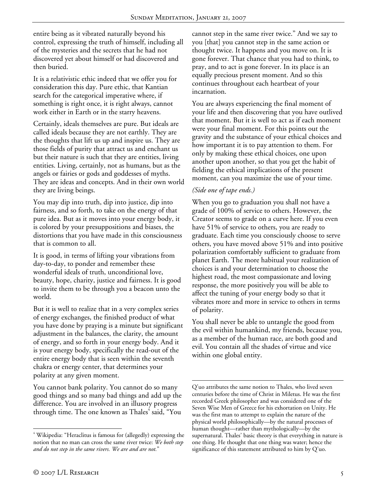entire being as it vibrated naturally beyond his control, expressing the truth of himself, including all of the mysteries and the secrets that he had not discovered yet about himself or had discovered and then buried.

It is a relativistic ethic indeed that we offer you for consideration this day. Pure ethic, that Kantian search for the categorical imperative where, if something is right once, it is right always, cannot work either in Earth or in the starry heavens.

Certainly, ideals themselves are pure. But ideals are called ideals because they are not earthly. They are the thoughts that lift us up and inspire us. They are those fields of purity that attract us and enchant us but their nature is such that they are entities, living entities. Living, certainly, not as humans, but as the angels or fairies or gods and goddesses of myths. They are ideas and concepts. And in their own world they are living beings.

You may dip into truth, dip into justice, dip into fairness, and so forth, to take on the energy of that pure idea. But as it moves into your energy body, it is colored by your presuppositions and biases, the distortions that you have made in this consciousness that is common to all.

It is good, in terms of lifting your vibrations from day-to-day, to ponder and remember these wonderful ideals of truth, unconditional love, beauty, hope, charity, justice and fairness. It is good to invite them to be through you a beacon unto the world.

But it is well to realize that in a very complex series of energy exchanges, the finished product of what you have done by praying is a minute but significant adjustment in the balances, the clarity, the amount of energy, and so forth in your energy body. And it is your energy body, specifically the read-out of the entire energy body that is seen within the seventh chakra or energy center, that determines your polarity at any given moment.

You cannot bank polarity. You cannot do so many good things and so many bad things and add up the difference. You are involved in an illusory progress through time. The one known as Thales<sup>4</sup> said, "You cannot step in the same river twice." And we say to you [that] you cannot step in the same action or thought twice. It happens and you move on. It is gone forever. That chance that you had to think, to pray, and to act is gone forever. In its place is an equally precious present moment. And so this continues throughout each heartbeat of your incarnation.

You are always experiencing the final moment of your life and then discovering that you have outlived that moment. But it is well to act as if each moment were your final moment. For this points out the gravity and the substance of your ethical choices and how important it is to pay attention to them. For only by making these ethical choices, one upon another upon another, so that you get the habit of fielding the ethical implications of the present moment, can you maximize the use of your time.

## *(Side one of tape ends.)*

 $\overline{a}$ 

When you go to graduation you shall not have a grade of 100% of service to others. However, the Creator seems to grade on a curve here. If you even have 51% of service to others, you are ready to graduate. Each time you consciously choose to serve others, you have moved above 51% and into positive polarization comfortably sufficient to graduate from planet Earth. The more habitual your realization of choices is and your determination to choose the highest road, the most compassionate and loving response, the more positively you will be able to affect the tuning of your energy body so that it vibrates more and more in service to others in terms of polarity.

You shall never be able to untangle the good from the evil within humankind, my friends, because you, as a member of the human race, are both good and evil. You contain all the shades of virtue and vice within one global entity.

 $\overline{a}$ 

<sup>4</sup> Wikipedia: "Heraclitus is famous for (allegedly) expressing the notion that no man can cross the same river twice: *We both step and do not step in the same rivers. We are and are not.*"

Q'uo attributes the same notion to Thales, who lived seven centuries before the time of Christ in Miletus. He was the first recorded Greek philosopher and was considered one of the Seven Wise Men of Greece for his exhortation on Unity. He was the first man to attempt to explain the nature of the physical world philosophically—by the natural processes of human thought—rather than mythologically—by the supernatural. Thales' basic theory is that everything in nature is one thing. He thought that one thing was water; hence the significance of this statement attributed to him by Q'uo.